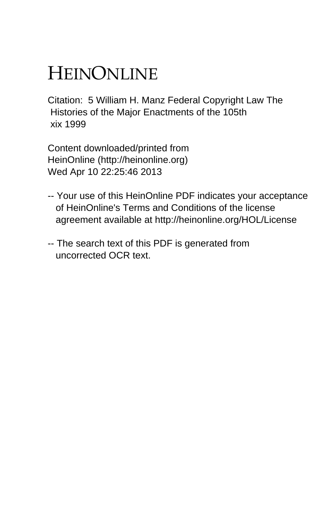# HEINONLINE

Citation: 5 William H. Manz Federal Copyright Law The Histories of the Major Enactments of the 105th xix 1999

Content downloaded/printed from HeinOnline (http://heinonline.org) Wed Apr 10 22:25:46 2013

- -- Your use of this HeinOnline PDF indicates your acceptance of HeinOnline's Terms and Conditions of the license agreement available at http://heinonline.org/HOL/License
- -- The search text of this PDF is generated from uncorrected OCR text.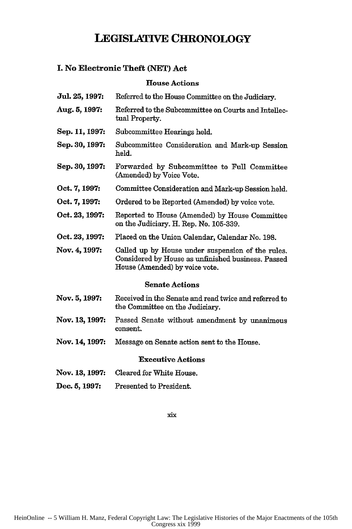## **LEGISLATIVE CHRONOLOGY**

## **1. No Electronic Theft (NET) Act**

## **House Actions**

| Jul. 25, 1997:           | Referred to the House Committee on the Judiciary.                                                                                         |  |
|--------------------------|-------------------------------------------------------------------------------------------------------------------------------------------|--|
| Aug. 5, 1997:            | Referred to the Subcommittee on Courts and Intellec-<br>tual Property.                                                                    |  |
| Sep. 11, 1997:           | Subcommittee Hearings held.                                                                                                               |  |
| Sep. 30, 1997:           | Subcommittee Consideration and Mark-up Session<br>held.                                                                                   |  |
| Sep. 30, 1997:           | Forwarded by Subcommittee to Full Committee<br>(Amended) by Voice Vote.                                                                   |  |
| Oct. 7, 1997:            | Committee Consideration and Mark-up Session held.                                                                                         |  |
| Oct. 7, 1997:            | Ordered to be Reported (Amended) by voice vote.                                                                                           |  |
| Oct. 23, 1997:           | Reported to House (Amended) by House Committee<br>on the Judiciary. H. Rep. No. 105-339.                                                  |  |
| Oct. 23, 1997:           | Placed on the Union Calendar, Calendar No. 198.                                                                                           |  |
| Nov. 4, 1997:            | Called up by House under suspension of the rules.<br>Considered by House as unfinished business. Passed<br>House (Amended) by voice vote. |  |
| <b>Senate Actions</b>    |                                                                                                                                           |  |
| Nov. 5, 1997:            | Received in the Senate and read twice and referred to<br>the Committee on the Judiciary.                                                  |  |
| Nov. 13, 1997:           | Passed Senate without amendment by unanimous<br>consent.                                                                                  |  |
| Nov. 14, 1997:           | Message on Senate action sent to the House.                                                                                               |  |
| <b>Executive Actions</b> |                                                                                                                                           |  |
| Nov. 13, 1997:           | Cleared for White House.                                                                                                                  |  |
| Dec. 5, 1997:            | Presented to President.                                                                                                                   |  |

xix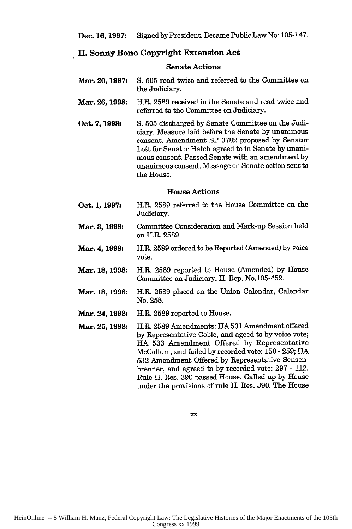## **II. Sonny Bono Copyright Extension Act**

#### **Senate Actions**

- **Mar. 20, 1997: S.** 505 read twice and referred to the Committee on the Judiciary.
- **Mar. 26, 1998:** H.R. **2589** received in the Senate and read twice and referred to the Committee on Judiciary.
- Oct. **7, 1998: S. 505** discharged **by** Senate Committee on the Judiciary. Measure laid before the Senate **by** unanimous consent. Amendment **SP 3782** proposed **by** Senator Lott for Senator Hatch agreed to in Senate by unanimous consent. Passed Senate with an amendment by unanimous consent. Message on Senate action sent to the House.

#### House Actions

- **Oct. 1, 1997:** H.R. 2589 referred to the House Committee on the Judiciary.
- **Mar. 3, 1998:** Committee Consideration and Mark-up Session held on H.R. 2589.
- **Mar. 4, 1998:** H.R. 2589 ordered to be Reported (Amended) by voice vote.
- **Mar. 18, 1998:** H.R. 2589 reported to House (Amended) by House Committee on Judiciary. H. Rep. No.105-452.
- **Mar. 18, 1998:** H.R. 2589 placed on the Union Calendar, Calendar No. **258.**
- **Mar. 24, 1998:** H.R. 2589 reported to House.
- **Mar. 25, 1998:** H.R. 2589 Amendments: HA 531 Amendment offered by Representative Coble, and ageed to by voice vote; HA 533 Amendment Offered by Representative McCollum, and failed by recorded vote: 150 - 259; HA 532 Amendment Offered by Representative Sensenbrenner, and agreed to by recorded vote: 297 - 112. Rule H. Res. 390 passed House. Called up by House under the provisions of rule H. Res. 390. The House

xx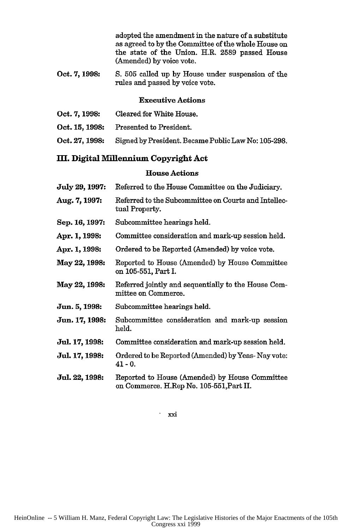adopted the amendment in the nature of a substitute as agreed to **by** the Committee of the whole House on the state of the Union. H.R. **2589** passed House (Amended) **by** voice vote.

**Oct. 7, 1998: S. 505** called up **by** House under suspension of the rules and passed **by** voice vote.

#### **Executive Actions**

| Oct. 7, 1998:  | Cleared for White House.                            |
|----------------|-----------------------------------------------------|
| Oct. 15, 1998: | Presented to President.                             |
| Oct. 27, 1998: | Signed by President. Became Public Law No: 105-298. |

## m. **Digital Millennium Copyright Act**

### **House Actions**

| July 29, 1997: | Referred to the House Committee on the Judiciary.                                          |
|----------------|--------------------------------------------------------------------------------------------|
| Aug. 7, 1997:  | Referred to the Subcommittee on Courts and Intellec-<br>tual Property.                     |
| Sep. 16, 1997: | Subcommittee hearings held.                                                                |
| Apr. 1, 1998:  | Committee consideration and mark-up session held.                                          |
| Apr. 1, 1998:  | Ordered to be Reported (Amended) by voice vote.                                            |
| May 22, 1998:  | Reported to House (Amended) by House Committee<br>on 105-551, Part I.                      |
| May 22, 1998:  | Referred jointly and sequentially to the House Com-<br>mittee on Commerce.                 |
| Jun. 5, 1998:  | Subcommittee hearings held.                                                                |
| Jun. 17, 1998: | Subcommittee consideration and mark-up session<br>held.                                    |
| Jul. 17, 1998: | Committee consideration and mark-up session held.                                          |
| Jul. 17, 1998: | Ordered to be Reported (Amended) by Yeas-Nay vote:<br>$41 - 0.$                            |
| Jul. 22, 1998: | Reported to House (Amended) by House Committee<br>on Commerce. H.Rep No. 105-551, Part II. |
|                |                                                                                            |

xxi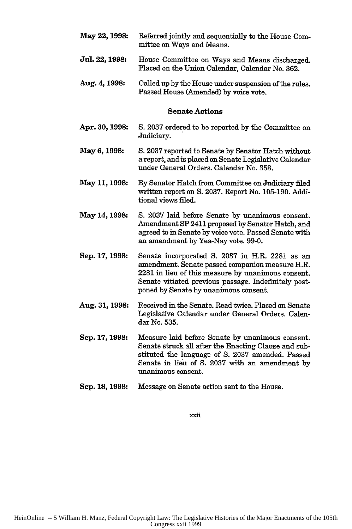- May **22, 1998: Jul. 22, 1998: Aug. 4, 1998: Apr. 30, 1998: May 6, 1998: May 11, 1998: May 14, 1998: Sep. 17, 1998: Aug. 31, 1998: Sep. 17, 1998:** Referred jointly and sequentially to the House Committee on Ways and Means. House Committee on Ways and Means discharged. Placed on the Union Calendar, Calendar No. 362. Called up by the House under suspension ofthe rules. Passed House (Amended) by voice vote. Senate Actions S. 2037 ordered to be reported by the Committee on Judiciary. S. 2037 reported to Senate by Senator Hatch without a report, and is placed on Senate Legislative Calendar under General Orders. Calendar No. 358. By Senator Hatch from Committee on Judiciary **filed** written report on **S.** 2037. Report No. 105-190. Additional views filed. **S.** 2037 laid before Senate by unanimous consent. Amendment SP 2411 proposed by Senator Hatch, and agreed to in Senate by voice vote. Passed Senate with an amendment by Yea-Nay vote. 99-0. Senate incorporated **S.** 2037 in H.R. 2281 as an amendment. Senate passed companion measure H.R. 2281 in lieu of this measure by unanimous consent. Senate vitiated previous passage. Indefinitely postponed by Senate by unanimous consent. Received in the Senate. Read twice. Placed on Senate Legislative Calendar under General Orders. Calendar No. 535. Measure laid before Senate by unanimous consent. Senate struck all after the Enacting Clause and substituted the language of **S.** 2037 amended. Passed Senate in lieu of **S.** 2037 with an amendment by unanimous consent.
- **Sep. 18, 1998:** Message on Senate action sent to the House.

xxii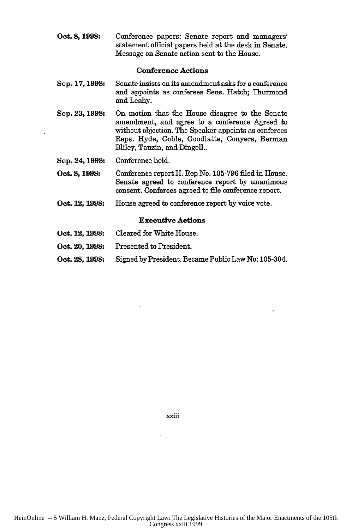**Oct. 8, 1998:** Conference papers: Senate report and managers' statement official papers held at the desk in Senate. Message on Senate action sent to the House.

#### Conference Actions

- Sep. **17, 1998:** Senate insists on its amendment asks for a conference and appoints as conferees Sens. Hatch; Thurmond and Leahy.
- Sep. 23, 1998: On motion that the House disagree to the Senate amendment, and agree to a conference Agreed to without objection. The Speaker appoints as conferees Reps. Hyde, Coble, Goodlatte, Conyers, Berman Bliley, Tauzin, and Dingell..
- Sep. 24, 1998: Conference held.
- Oct. **8, 1998:** Conference report H. Rep No. 105-796 filed in House. Senate agreed to conference report by unanimous consent. Conferees agreed to file conference report.
- Oct. 12, **1998:** House agreed to conference report by voice vote.

#### Executive Actions

- Oct. 12, **1998:** Cleared for White House.
- Oct. 20, **1998:** Presented to President.
- Oct. 28, **1998:** Signed by President. Became Public Law No: 105-304.

xxiii